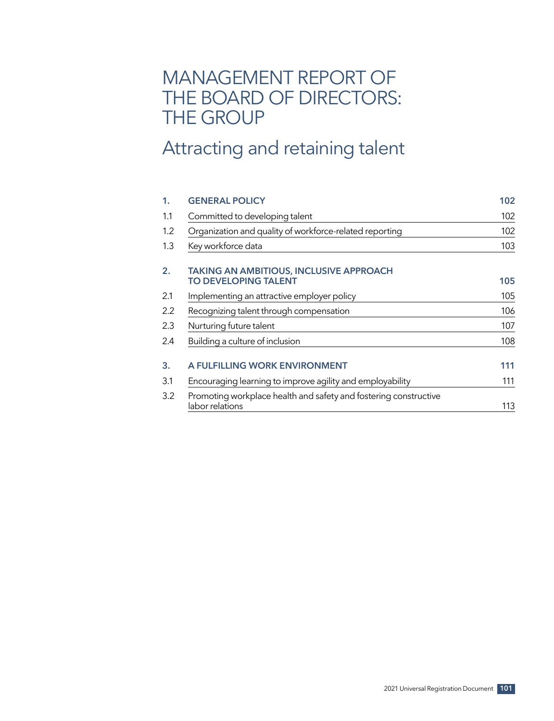# MANAGEMENT REPORT OF THE BOARD OF DIRECTORS: THE GROUP

# Attracting and retaining talent

| 1.  | <b>GENERAL POLICY</b>                                                               | 102 |
|-----|-------------------------------------------------------------------------------------|-----|
| 1.1 | Committed to developing talent                                                      | 102 |
| 1.2 | Organization and quality of workforce-related reporting                             | 102 |
| 1.3 | Key workforce data                                                                  | 103 |
| 2.  | <b>TAKING AN AMBITIOUS, INCLUSIVE APPROACH</b><br><b>TO DEVELOPING TALENT</b>       | 105 |
| 2.1 | Implementing an attractive employer policy                                          | 105 |
| 2.2 | Recognizing talent through compensation                                             | 106 |
| 2.3 | Nurturing future talent                                                             | 107 |
| 2.4 | Building a culture of inclusion                                                     | 108 |
| 3.  | A FULFILLING WORK ENVIRONMENT                                                       | 111 |
| 3.1 | Encouraging learning to improve agility and employability                           | 111 |
| 3.2 | Promoting workplace health and safety and fostering constructive<br>labor relations | 113 |
|     |                                                                                     |     |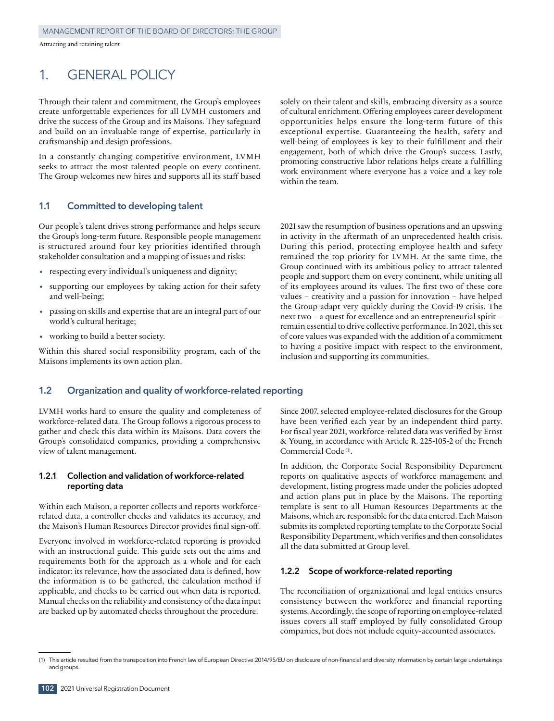# 1. GENERAL POLICY

Through their talent and commitment, the Group's employees create unforgettable experiences for all LVMH customers and drive the success of the Group and its Maisons. They safeguard and build on an invaluable range of expertise, particularly in craftsmanship and design professions.

In a constantly changing competitive environment, LVMH seeks to attract the most talented people on every continent. The Group welcomes new hires and supports all its staff based

# **1.1 Committed to developing talent**

Our people's talent drives strong performance and helps secure the Group's long‑term future. Responsible people management is structured around four key priorities identified through stakeholder consultation and a mapping of issues and risks:

- respecting every individual's uniqueness and dignity;
- supporting our employees by taking action for their safety and well-being;
- passing on skills and expertise that are an integral part of our world's cultural heritage;
- working to build a better society.

Within this shared social responsibility program, each of the Maisons implements its own action plan.

# **1.2 Organization and quality of workforce‑related reporting**

LVMH works hard to ensure the quality and completeness of workforce‑related data. The Group follows a rigorous process to gather and check this data within its Maisons. Data covers the Group's consolidated companies, providing a comprehensive view of talent management.

# **1.2.1 Collection and validation of workforce‑related reporting data**

Within each Maison, a reporter collects and reports workforcerelated data, a controller checks and validates its accuracy, and the Maison's Human Resources Director provides final sign-off.

Everyone involved in workforce‑related reporting is provided with an instructional guide. This guide sets out the aims and requirements both for the approach as a whole and for each indicator: its relevance, how the associated data is defined, how the information is to be gathered, the calculation method if applicable, and checks to be carried out when data is reported. Manual checks on the reliability and consistency of the data input are backed up by automated checks throughout the procedure.

solely on their talent and skills, embracing diversity as a source of cultural enrichment. Offering employees career development opportunities helps ensure the long‑term future of this exceptional expertise. Guaranteeing the health, safety and well-being of employees is key to their fulfillment and their engagement, both of which drive the Group's success. Lastly, promoting constructive labor relations helps create a fulfilling work environment where everyone has a voice and a key role within the team.

2021 saw the resumption of business operations and an upswing in activity in the aftermath of an unprecedented health crisis. During this period, protecting employee health and safety remained the top priority for LVMH. At the same time, the Group continued with its ambitious policy to attract talented people and support them on every continent, while uniting all of its employees around its values. The first two of these core values – creativity and a passion for innovation – have helped the Group adapt very quickly during the Covid‑19 crisis. The next two – a quest for excellence and an entrepreneurial spirit – remain essential to drive collective performance. In 2021, this set of core values was expanded with the addition of a commitment to having a positive impact with respect to the environment, inclusion and supporting its communities.

Since 2007, selected employee-related disclosures for the Group have been verified each year by an independent third party. For fiscal year 2021, workforce-related data was verified by Ernst & Young, in accordance with Article R. 225‑105‑2 of the French Commercial Code<sup>(1)</sup>.

In addition, the Corporate Social Responsibility Department reports on qualitative aspects of workforce management and development, listing progress made under the policies adopted and action plans put in place by the Maisons. The reporting template is sent to all Human Resources Departments at the Maisons, which are responsible for the data entered. Each Maison submits its completed reporting template to the Corporate Social Responsibility Department, which verifies and then consolidates all the data submitted at Group level.

#### **1.2.2 Scope of workforce‑related reporting**

The reconciliation of organizational and legal entities ensures consistency between the workforce and financial reporting systems. Accordingly, the scope of reporting on employee-related issues covers all staff employed by fully consolidated Group companies, but does not include equity‑accounted associates.

<sup>(1)</sup> This article resulted from the transposition into French law of European Directive 2014/95/EU on disclosure of non‑financial and diversity information by certain large undertakings and groups.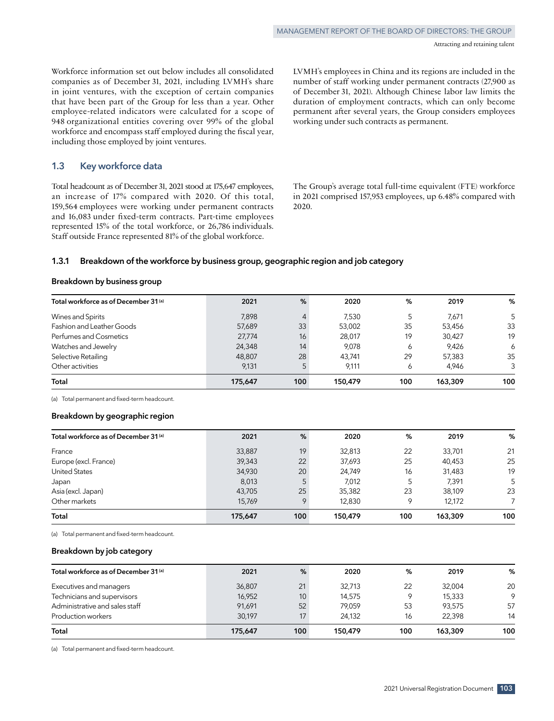Workforce information set out below includes all consolidated companies as of December 31, 2021, including LVMH's share in joint ventures, with the exception of certain companies that have been part of the Group for less than a year. Other employee‑related indicators were calculated for a scope of 948 organizational entities covering over 99% of the global workforce and encompass staff employed during the fiscal year, including those employed by joint ventures.

# **1.3 Key workforce data**

Total headcount as of December 31, 2021 stood at 175,647 employees, an increase of 17% compared with 2020. Of this total, 159,564 employees were working under permanent contracts and 16,083 under fixed-term contracts. Part-time employees represented 15% of the total workforce, or 26,786 individuals. Staff outside France represented 81% of the global workforce.

LVMH's employees in China and its regions are included in the number of staff working under permanent contracts (27,900 as of December 31, 2021). Although Chinese labor law limits the duration of employment contracts, which can only become permanent after several years, the Group considers employees working under such contracts as permanent.

The Group's average total full-time equivalent (FTE) workforce in 2021 comprised 157,953 employees, up 6.48% compared with 2020.

#### **1.3.1 Breakdown of the workforce by business group, geographic region and job category**

# **Breakdown by business group**

| Total workforce as of December 31 (a) | 2021    | %              | 2020    | %   | 2019    | %   |
|---------------------------------------|---------|----------------|---------|-----|---------|-----|
| Wines and Spirits                     | 7.898   | $\overline{4}$ | 7,530   | 5   | 7,671   | 5   |
| Fashion and Leather Goods             | 57,689  | 33             | 53,002  | 35  | 53,456  | 33  |
| Perfumes and Cosmetics                | 27,774  | 16             | 28,017  | 19  | 30,427  | 19  |
| Watches and Jewelry                   | 24,348  | 14             | 9.078   | 6   | 9.426   | 6   |
| Selective Retailing                   | 48,807  | 28             | 43,741  | 29  | 57,383  | 35  |
| Other activities                      | 9.131   | 5              | 9,111   | 6   | 4.946   | 3   |
| Total                                 | 175,647 | 100            | 150.479 | 100 | 163,309 | 100 |

(a) Total permanent and fixed-term headcount.

#### **Breakdown by geographic region**

| Total workforce as of December 31 (a) | 2021    | %            | 2020    | %   | 2019    | %   |
|---------------------------------------|---------|--------------|---------|-----|---------|-----|
| France                                | 33,887  | 19           | 32,813  | 22  | 33,701  | 21  |
| Europe (excl. France)                 | 39,343  | 22           | 37,693  | 25  | 40.453  | 25  |
| <b>United States</b>                  | 34,930  | 20           | 24,749  | 16  | 31,483  | 19  |
| Japan                                 | 8,013   |              | 7,012   | 5   | 7,391   | 5   |
| Asia (excl. Japan)                    | 43,705  | 25           | 35,382  | 23  | 38.109  | 23  |
| Other markets                         | 15.769  | $\mathsf{Q}$ | 12,830  | 9   | 12,172  |     |
| Total                                 | 175,647 | 100          | 150.479 | 100 | 163,309 | 100 |

(a) Total permanent and fixed-term headcount.

#### **Breakdown by job category**

| Total workforce as of December 31 (a) | 2021    | %               | 2020    | %       | 2019    | %       |
|---------------------------------------|---------|-----------------|---------|---------|---------|---------|
| Executives and managers               | 36,807  | 21              | 32.713  | 22      | 32,004  | 20      |
| Technicians and supervisors           | 16,952  | 10 <sup>1</sup> | 14,575  | $\circ$ | 15,333  | $\circ$ |
| Administrative and sales staff        | 91,691  | 52              | 79.059  | 53      | 93.575  | 57      |
| Production workers                    | 30.197  | 17              | 24.132  | 16      | 22.398  | 14      |
| Total                                 | 175,647 | 100             | 150,479 | 100     | 163.309 | 100     |

(a) Total permanent and fixed-term headcount.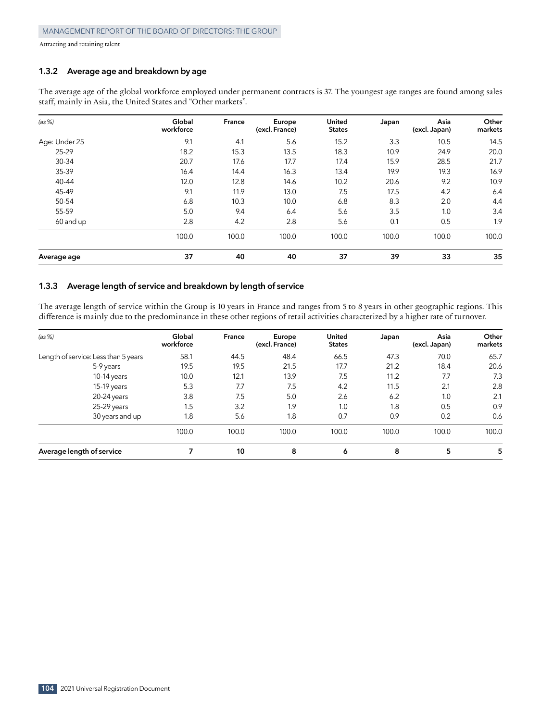# **1.3.2 Average age and breakdown by age**

The average age of the global workforce employed under permanent contracts is 37. The youngest age ranges are found among sales staff, mainly in Asia, the United States and "Other markets".

| (as %)        | Global<br>workforce | France | Europe<br>(excl. France) | <b>United</b><br><b>States</b> | Japan | Asia<br>(excl. Japan) | Other<br>markets |
|---------------|---------------------|--------|--------------------------|--------------------------------|-------|-----------------------|------------------|
| Age: Under 25 | 9.1                 | 4.1    | 5.6                      | 15.2                           | 3.3   | 10.5                  | 14.5             |
| 25-29         | 18.2                | 15.3   | 13.5                     | 18.3                           | 10.9  | 24.9                  | 20.0             |
| $30 - 34$     | 20.7                | 17.6   | 17.7                     | 17.4                           | 15.9  | 28.5                  | 21.7             |
| 35-39         | 16.4                | 14.4   | 16.3                     | 13.4                           | 19.9  | 19.3                  | 16.9             |
| $40 - 44$     | 12.0                | 12.8   | 14.6                     | 10.2                           | 20.6  | 9.2                   | 10.9             |
| 45-49         | 9.1                 | 11.9   | 13.0                     | 7.5                            | 17.5  | 4.2                   | 6.4              |
| 50-54         | 6.8                 | 10.3   | 10.0                     | 6.8                            | 8.3   | 2.0                   | 4.4              |
| 55-59         | 5.0                 | 9.4    | 6.4                      | 5.6                            | 3.5   | 1.0                   | 3.4              |
| 60 and up     | 2.8                 | 4.2    | 2.8                      | 5.6                            | 0.1   | 0.5                   | 1.9              |
|               | 100.0               | 100.0  | 100.0                    | 100.0                          | 100.0 | 100.0                 | 100.0            |
| Average age   | 37                  | 40     | 40                       | 37                             | 39    | 33                    | 35               |

# **1.3.3 Average length of service and breakdown by length of service**

The average length of service within the Group is 10 years in France and ranges from 5 to 8 years in other geographic regions. This difference is mainly due to the predominance in these other regions of retail activities characterized by a higher rate of turnover.

| (as %)                               | Global<br>workforce | France | Europe<br>(excl. France) | <b>United</b><br><b>States</b> | Japan | Asia<br>(excl. Japan) | Other<br>markets |
|--------------------------------------|---------------------|--------|--------------------------|--------------------------------|-------|-----------------------|------------------|
| Length of service: Less than 5 years | 58.1                | 44.5   | 48.4                     | 66.5                           | 47.3  | 70.0                  | 65.7             |
| 5-9 years                            | 19.5                | 19.5   | 21.5                     | 17.7                           | 21.2  | 18.4                  | 20.6             |
| 10-14 years                          | 10.0                | 12.1   | 13.9                     | 7.5                            | 11.2  | 7.7                   | 7.3              |
| $15-19$ years                        | 5.3                 | 7.7    | 7.5                      | 4.2                            | 11.5  | 2.1                   | 2.8              |
| 20-24 years                          | 3.8                 | 7.5    | 5.0                      | 2.6                            | 6.2   | 1.0                   | 2.1              |
| 25-29 years                          | 1.5                 | 3.2    | 1.9                      | 1.0                            | 1.8   | 0.5                   | 0.9              |
| 30 years and up                      | 1.8                 | 5.6    | 1.8                      | 0.7                            | 0.9   | 0.2                   | 0.6              |
|                                      | 100.0               | 100.0  | 100.0                    | 100.0                          | 100.0 | 100.0                 | 100.0            |
| Average length of service            |                     | 10     | 8                        | 6                              | 8     | 5                     | 5                |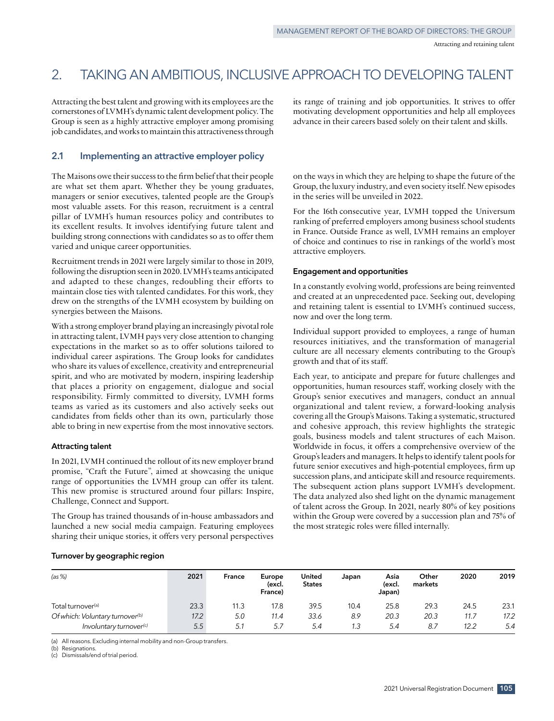# 2. TAKING AN AMBITIOUS, INCLUSIVE APPROACH TO DEVELOPING TALENT

Attracting the best talent and growing with its employees are the cornerstones of LVMH's dynamic talent development policy. The Group is seen as a highly attractive employer among promising job candidates, and works to maintain this attractiveness through

its range of training and job opportunities. It strives to offer motivating development opportunities and help all employees advance in their careers based solely on their talent and skills.

# **2.1 Implementing an attractive employer policy**

The Maisons owe their success to the firm belief that their people are what set them apart. Whether they be young graduates, managers or senior executives, talented people are the Group's most valuable assets. For this reason, recruitment is a central pillar of LVMH's human resources policy and contributes to its excellent results. It involves identifying future talent and building strong connections with candidates so as to offer them varied and unique career opportunities.

Recruitment trends in 2021 were largely similar to those in 2019, following the disruption seen in 2020. LVMH's teams anticipated and adapted to these changes, redoubling their efforts to maintain close ties with talented candidates. For this work, they drew on the strengths of the LVMH ecosystem by building on synergies between the Maisons.

With a strong employer brand playing an increasingly pivotal role in attracting talent, LVMH pays very close attention to changing expectations in the market so as to offer solutions tailored to individual career aspirations. The Group looks for candidates who share its values of excellence, creativity and entrepreneurial spirit, and who are motivated by modern, inspiring leadership that places a priority on engagement, dialogue and social responsibility. Firmly committed to diversity, LVMH forms teams as varied as its customers and also actively seeks out candidates from fields other than its own, particularly those able to bring in new expertise from the most innovative sectors.

#### **Attracting talent**

In 2021, LVMH continued the rollout of its new employer brand promise, "Craft the Future", aimed at showcasing the unique range of opportunities the LVMH group can offer its talent. This new promise is structured around four pillars: Inspire, Challenge, Connect and Support.

The Group has trained thousands of in‑house ambassadors and launched a new social media campaign. Featuring employees sharing their unique stories, it offers very personal perspectives on the ways in which they are helping to shape the future of the Group, the luxury industry, and even society itself. New episodes in the series will be unveiled in 2022.

For the 16th consecutive year, LVMH topped the Universum ranking of preferred employers among business school students in France. Outside France as well, LVMH remains an employer of choice and continues to rise in rankings of the world's most attractive employers.

## **Engagement and opportunities**

In a constantly evolving world, professions are being reinvented and created at an unprecedented pace. Seeking out, developing and retaining talent is essential to LVMH's continued success, now and over the long term.

Individual support provided to employees, a range of human resources initiatives, and the transformation of managerial culture are all necessary elements contributing to the Group's growth and that of its staff.

Each year, to anticipate and prepare for future challenges and opportunities, human resources staff, working closely with the Group's senior executives and managers, conduct an annual organizational and talent review, a forward‑looking analysis covering all the Group's Maisons. Taking a systematic, structured and cohesive approach, this review highlights the strategic goals, business models and talent structures of each Maison. Worldwide in focus, it offers a comprehensive overview of the Group's leaders and managers. It helps to identify talent pools for future senior executives and high‑potential employees, firm up succession plans, and anticipate skill and resource requirements. The subsequent action plans support LVMH's development. The data analyzed also shed light on the dynamic management of talent across the Group. In 2021, nearly 80% of key positions within the Group were covered by a succession plan and 75% of the most strategic roles were filled internally.

# **Turnover by geographic region**

| (as %)                                      | 2021 | <b>France</b> | Europe<br>(excl.<br>France) | United<br><b>States</b> | Japan | Asia<br>(excl.<br>Japan) | Other<br>markets | 2020 | 2019 |
|---------------------------------------------|------|---------------|-----------------------------|-------------------------|-------|--------------------------|------------------|------|------|
| Total turnover <sup>(a)</sup>               | 23.3 | 11.3          | 17.8                        | 39.5                    | 10.4  | 25.8                     | 29.3             | 24.5 | 23.1 |
| Of which: Voluntary turnover <sup>(b)</sup> | 17.2 | 5.0           | 11.4                        | 33.6                    | 8.9   | 20.3                     | 20.3             | 11.7 | 17.2 |
| Involuntary turnover <sup>(c)</sup>         | 5.5  | 5.1           | 5.7                         | 5.4                     | 1.3   | 5.4                      | -8.7             | 12.2 | 5.4  |

(a) All reasons. Excluding internal mobility and non-Group transfers.

(b) Resignations.

(c) Dismissals/end of trial period.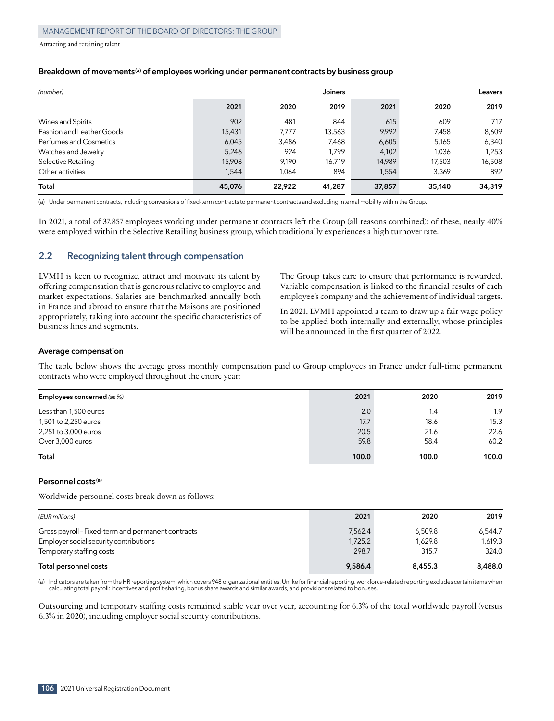#### **Breakdown of movements(a) of employees working under permanent contracts by business group**

| (number)                         |        |        | <b>Joiners</b> |        |        | Leavers |
|----------------------------------|--------|--------|----------------|--------|--------|---------|
|                                  | 2021   | 2020   | 2019           | 2021   | 2020   | 2019    |
| Wines and Spirits                | 902    | 481    | 844            | 615    | 609    | 717     |
| <b>Fashion and Leather Goods</b> | 15,431 | 7.777  | 13,563         | 9,992  | 7,458  | 8,609   |
| Perfumes and Cosmetics           | 6,045  | 3,486  | 7,468          | 6,605  | 5.165  | 6,340   |
| Watches and Jewelry              | 5,246  | 924    | 1.799          | 4,102  | 1,036  | 1,253   |
| Selective Retailing              | 15,908 | 9.190  | 16,719         | 14,989 | 17,503 | 16,508  |
| Other activities                 | 1.544  | 1.064  | 894            | 1.554  | 3,369  | 892     |
| Total                            | 45,076 | 22.922 | 41,287         | 37,857 | 35,140 | 34,319  |

(a) Under permanent contracts, including conversions of fixed-term contracts to permanent contracts and excluding internal mobility within the Group.

In 2021, a total of 37,857 employees working under permanent contracts left the Group (all reasons combined); of these, nearly 40% were employed within the Selective Retailing business group, which traditionally experiences a high turnover rate.

# **2.2 Recognizing talent through compensation**

LVMH is keen to recognize, attract and motivate its talent by offering compensation that is generous relative to employee and market expectations. Salaries are benchmarked annually both in France and abroad to ensure that the Maisons are positioned appropriately, taking into account the specific characteristics of business lines and segments.

The Group takes care to ensure that performance is rewarded. Variable compensation is linked to the financial results of each employee's company and the achievement of individual targets.

In 2021, LVMH appointed a team to draw up a fair wage policy to be applied both internally and externally, whose principles will be announced in the first quarter of 2022.

#### **Average compensation**

The table below shows the average gross monthly compensation paid to Group employees in France under full-time permanent contracts who were employed throughout the entire year:

| Employees concerned (as %) | 2021  | 2020  | 2019  |
|----------------------------|-------|-------|-------|
| Less than 1,500 euros      | 2.0   | 1.4   | 1.9   |
| 1,501 to 2,250 euros       | 17.7  | 18.6  | 15.3  |
| 2,251 to 3,000 euros       | 20.5  | 21.6  | 22.6  |
| Over 3,000 euros           | 59.8  | 58.4  | 60.2  |
| Total                      | 100.0 | 100.0 | 100.0 |

#### **Personnel costs(a)**

Worldwide personnel costs break down as follows:

| (EUR millions)                                     | 2021    | 2020    | 2019    |
|----------------------------------------------------|---------|---------|---------|
| Gross payroll - Fixed-term and permanent contracts | 7.562.4 | 6.509.8 | 6.544.7 |
| Employer social security contributions             | 1,725.2 | 1.629.8 | 1.619.3 |
| Temporary staffing costs                           | 298.7   | 315.7   | 324.0   |
| Total personnel costs                              | 9.586.4 | 8.455.3 | 8,488.0 |

(a) Indicators are taken from the HR reporting system, which covers 948 organizational entities. Unlike for financial reporting, workforce-related reporting excludes certain items when calculating total payroll: incentives and profit‑sharing, bonus share awards and similar awards, and provisions related to bonuses.

Outsourcing and temporary staffing costs remained stable year over year, accounting for 6.3% of the total worldwide payroll (versus 6.3% in 2020), including employer social security contributions.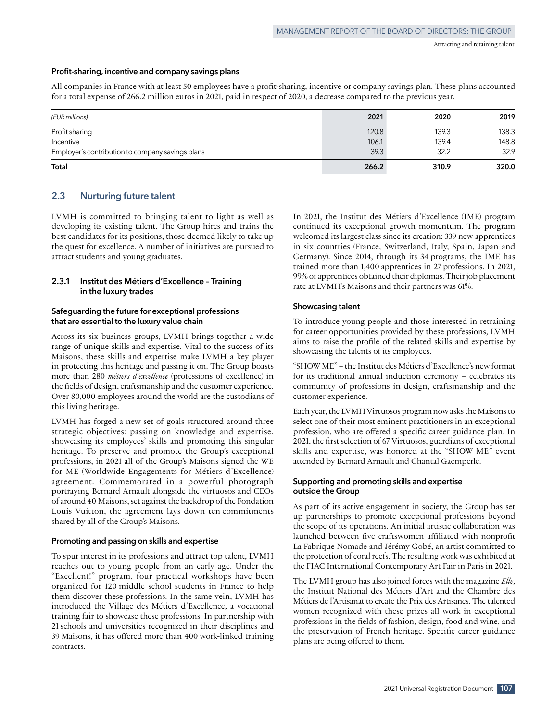#### **Profit‑sharing, incentive and company savings plans**

All companies in France with at least 50 employees have a profit‑sharing, incentive or company savings plan. These plans accounted for a total expense of 266.2 million euros in 2021, paid in respect of 2020, a decrease compared to the previous year.

| (EUR millions)                                   | 2021  | 2020  | 2019  |
|--------------------------------------------------|-------|-------|-------|
| Profit sharing                                   | 120.8 | 139.3 | 138.3 |
| Incentive                                        | 106.1 | 139.4 | 148.8 |
| Employer's contribution to company savings plans | 39.3  | 32.2  | 32.9  |
| Total                                            | 266.2 | 310.9 | 320.0 |

# **2.3 Nurturing future talent**

LVMH is committed to bringing talent to light as well as developing its existing talent. The Group hires and trains the best candidates for its positions, those deemed likely to take up the quest for excellence. A number of initiatives are pursued to attract students and young graduates.

# **2.3.1 Institut des Métiers d'Excellence – Training in the luxury trades**

# **Safeguarding the future for exceptional professions that are essential to the luxury value chain**

Across its six business groups, LVMH brings together a wide range of unique skills and expertise. Vital to the success of its Maisons, these skills and expertise make LVMH a key player in protecting this heritage and passing it on. The Group boasts more than 280 *métiers d'excellence* (professions of excellence) in the fields of design, craftsmanship and the customer experience. Over 80,000 employees around the world are the custodians of this living heritage.

LVMH has forged a new set of goals structured around three strategic objectives: passing on knowledge and expertise, showcasing its employees' skills and promoting this singular heritage. To preserve and promote the Group's exceptional professions, in 2021 all of the Group's Maisons signed the WE for ME (Worldwide Engagements for Métiers d'Excellence) agreement. Commemorated in a powerful photograph portraying Bernard Arnault alongside the virtuosos and CEOs of around 40 Maisons, set against the backdrop of the Fondation Louis Vuitton, the agreement lays down ten commitments shared by all of the Group's Maisons.

#### **Promoting and passing on skills and expertise**

To spur interest in its professions and attract top talent, LVMH reaches out to young people from an early age. Under the "Excellent!" program, four practical workshops have been organized for 120 middle school students in France to help them discover these professions. In the same vein, LVMH has introduced the Village des Métiers d'Excellence, a vocational training fair to showcase these professions. In partnership with 21 schools and universities recognized in their disciplines and 39 Maisons, it has offered more than 400 work‑linked training contracts.

In 2021, the Institut des Métiers d'Excellence (IME) program continued its exceptional growth momentum. The program welcomed its largest class since its creation: 339 new apprentices in six countries (France, Switzerland, Italy, Spain, Japan and Germany). Since 2014, through its 34 programs, the IME has trained more than 1,400 apprentices in 27 professions. In 2021, 99% of apprentices obtained their diplomas. Their job placement rate at LVMH's Maisons and their partners was 61%.

#### **Showcasing talent**

To introduce young people and those interested in retraining for career opportunities provided by these professions, LVMH aims to raise the profile of the related skills and expertise by showcasing the talents of its employees.

"SHOW ME" – the Institut des Métiers d'Excellence's new format for its traditional annual induction ceremony – celebrates its community of professions in design, craftsmanship and the customer experience.

Each year, the LVMH Virtuosos program now asks the Maisons to select one of their most eminent practitioners in an exceptional profession, who are offered a specific career guidance plan. In 2021, the first selection of 67 Virtuosos, guardians of exceptional skills and expertise, was honored at the "SHOW ME" event attended by Bernard Arnault and Chantal Gaemperle.

# **Supporting and promoting skills and expertise outside the Group**

As part of its active engagement in society, the Group has set up partnerships to promote exceptional professions beyond the scope of its operations. An initial artistic collaboration was launched between five craftswomen affiliated with nonprofit La Fabrique Nomade and Jérémy Gobé, an artist committed to the protection of coral reefs. The resulting work was exhibited at the FIAC International Contemporary Art Fair in Paris in 2021.

The LVMH group has also joined forces with the magazine *Elle*, the Institut National des Métiers d'Art and the Chambre des Métiers de l'Artisanat to create the Prix des Artisanes. The talented women recognized with these prizes all work in exceptional professions in the fields of fashion, design, food and wine, and the preservation of French heritage. Specific career guidance plans are being offered to them.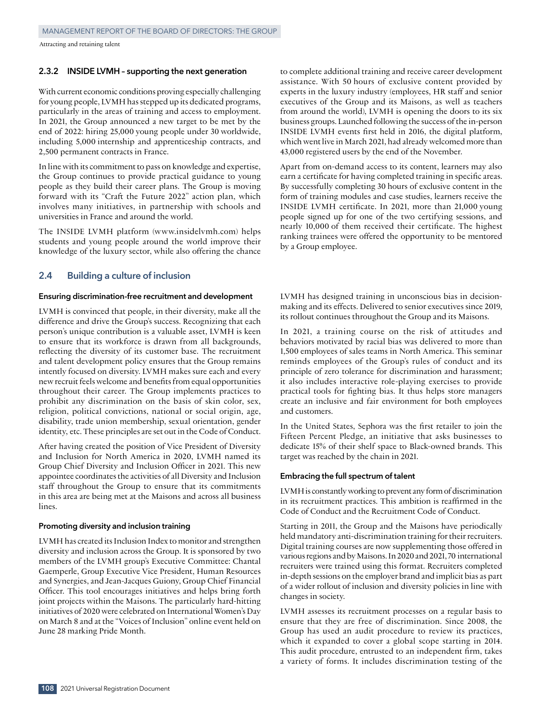## **2.3.2 INSIDE LVMH – supporting the next generation**

With current economic conditions proving especially challenging for young people, LVMH has stepped up its dedicated programs, particularly in the areas of training and access to employment. In 2021, the Group announced a new target to be met by the end of 2022: hiring 25,000 young people under 30 worldwide, including 5,000 internship and apprenticeship contracts, and 2,500 permanent contracts in France.

In line with its commitment to pass on knowledge and expertise, the Group continues to provide practical guidance to young people as they build their career plans. The Group is moving forward with its "Craft the Future 2022" action plan, which involves many initiatives, in partnership with schools and universities in France and around the world.

The INSIDE LVMH platform (www.insidelvmh.com) helps students and young people around the world improve their knowledge of the luxury sector, while also offering the chance

# **2.4 Building a culture of inclusion**

## **Ensuring discrimination‑free recruitment and development**

LVMH is convinced that people, in their diversity, make all the difference and drive the Group's success. Recognizing that each person's unique contribution is a valuable asset, LVMH is keen to ensure that its workforce is drawn from all backgrounds, reflecting the diversity of its customer base. The recruitment and talent development policy ensures that the Group remains intently focused on diversity. LVMH makes sure each and every new recruit feels welcome and benefits from equal opportunities throughout their career. The Group implements practices to prohibit any discrimination on the basis of skin color, sex, religion, political convictions, national or social origin, age, disability, trade union membership, sexual orientation, gender identity, etc. These principles are set out in the Code of Conduct.

After having created the position of Vice President of Diversity and Inclusion for North America in 2020, LVMH named its Group Chief Diversity and Inclusion Officer in 2021. This new appointee coordinates the activities of all Diversity and Inclusion staff throughout the Group to ensure that its commitments in this area are being met at the Maisons and across all business lines.

#### **Promoting diversity and inclusion training**

LVMH has created its Inclusion Index to monitor and strengthen diversity and inclusion across the Group. It is sponsored by two members of the LVMH group's Executive Committee: Chantal Gaemperle, Group Executive Vice President, Human Resources and Synergies, and Jean-Jacques Guiony, Group Chief Financial Officer. This tool encourages initiatives and helps bring forth joint projects within the Maisons. The particularly hard-hitting initiatives of 2020 were celebrated on International Women's Day on March 8 and at the "Voices of Inclusion" online event held on June 28 marking Pride Month.

to complete additional training and receive career development assistance. With 50 hours of exclusive content provided by experts in the luxury industry (employees, HR staff and senior executives of the Group and its Maisons, as well as teachers from around the world), LVMH is opening the doors to its six business groups. Launched following the success of the in‑person INSIDE LVMH events first held in 2016, the digital platform, which went live in March 2021, had already welcomed more than 43,000 registered users by the end of the November.

Apart from on-demand access to its content, learners may also earn a certificate for having completed training in specific areas. By successfully completing 30 hours of exclusive content in the form of training modules and case studies, learners receive the INSIDE LVMH certificate. In 2021, more than 21,000 young people signed up for one of the two certifying sessions, and nearly 10,000 of them received their certificate. The highest ranking trainees were offered the opportunity to be mentored by a Group employee.

LVMH has designed training in unconscious bias in decisionmaking and its effects. Delivered to senior executives since 2019, its rollout continues throughout the Group and its Maisons.

In 2021, a training course on the risk of attitudes and behaviors motivated by racial bias was delivered to more than 1,500 employees of sales teams in North America. This seminar reminds employees of the Group's rules of conduct and its principle of zero tolerance for discrimination and harassment; it also includes interactive role‑playing exercises to provide practical tools for fighting bias. It thus helps store managers create an inclusive and fair environment for both employees and customers.

In the United States, Sephora was the first retailer to join the Fifteen Percent Pledge, an initiative that asks businesses to dedicate 15% of their shelf space to Black‑owned brands. This target was reached by the chain in 2021.

# **Embracing the full spectrum of talent**

LVMH is constantly working to prevent any form of discrimination in its recruitment practices. This ambition is reaffirmed in the Code of Conduct and the Recruitment Code of Conduct.

Starting in 2011, the Group and the Maisons have periodically held mandatory anti-discrimination training for their recruiters. Digital training courses are now supplementing those offered in various regions and by Maisons. In 2020 and 2021, 70 international recruiters were trained using this format. Recruiters completed in‑depth sessions on the employer brand and implicit bias as part of a wider rollout of inclusion and diversity policies in line with changes in society.

LVMH assesses its recruitment processes on a regular basis to ensure that they are free of discrimination. Since 2008, the Group has used an audit procedure to review its practices, which it expanded to cover a global scope starting in 2014. This audit procedure, entrusted to an independent firm, takes a variety of forms. It includes discrimination testing of the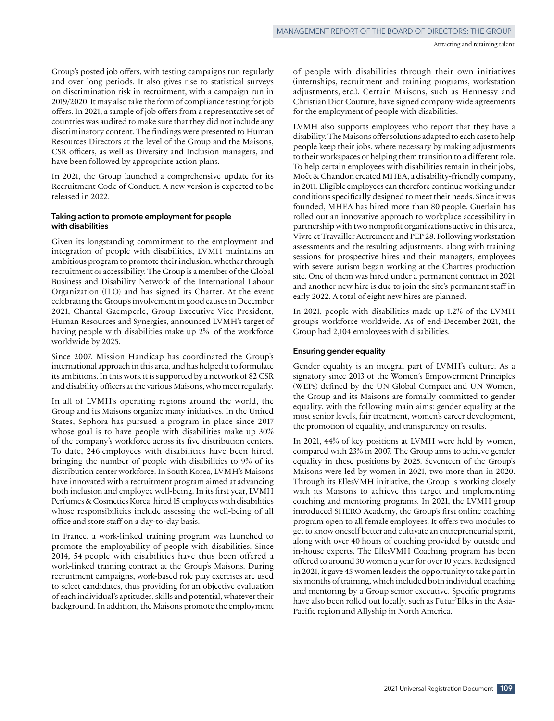Group's posted job offers, with testing campaigns run regularly and over long periods. It also gives rise to statistical surveys on discrimination risk in recruitment, with a campaign run in 2019/2020. It may also take the form of compliance testing for job offers. In 2021, a sample of job offers from a representative set of countries was audited to make sure that they did not include any discriminatory content. The findings were presented to Human Resources Directors at the level of the Group and the Maisons, CSR officers, as well as Diversity and Inclusion managers, and have been followed by appropriate action plans.

In 2021, the Group launched a comprehensive update for its Recruitment Code of Conduct. A new version is expected to be released in 2022.

# **Taking action to promote employment for people with disabilities**

Given its longstanding commitment to the employment and integration of people with disabilities, LVMH maintains an ambitious program to promote their inclusion, whether through recruitment or accessibility. The Group is a member of the Global Business and Disability Network of the International Labour Organization (ILO) and has signed its Charter. At the event celebrating the Group's involvement in good causes in December 2021, Chantal Gaemperle, Group Executive Vice President, Human Resources and Synergies, announced LVMH's target of having people with disabilities make up 2% of the workforce worldwide by 2025.

Since 2007, Mission Handicap has coordinated the Group's international approach in this area, and has helped it to formulate its ambitions. In this work it is supported by a network of 82 CSR and disability officers at the various Maisons, who meet regularly.

In all of LVMH's operating regions around the world, the Group and its Maisons organize many initiatives. In the United States, Sephora has pursued a program in place since 2017 whose goal is to have people with disabilities make up 30% of the company's workforce across its five distribution centers. To date, 246 employees with disabilities have been hired, bringing the number of people with disabilities to 9% of its distribution center workforce. In South Korea, LVMH's Maisons have innovated with a recruitment program aimed at advancing both inclusion and employee well‑being. In its first year, LVMH Perfumes & Cosmetics Korea hired 15 employees with disabilities whose responsibilities include assessing the well-being of all office and store staff on a day-to-day basis.

In France, a work-linked training program was launched to promote the employability of people with disabilities. Since 2014, 54 people with disabilities have thus been offered a work‑linked training contract at the Group's Maisons. During recruitment campaigns, work‑based role play exercises are used to select candidates, thus providing for an objective evaluation of each individual's aptitudes, skills and potential, whatever their background. In addition, the Maisons promote the employment of people with disabilities through their own initiatives (internships, recruitment and training programs, workstation adjustments, etc.). Certain Maisons, such as Hennessy and Christian Dior Couture, have signed company‑wide agreements for the employment of people with disabilities.

LVMH also supports employees who report that they have a disability. The Maisons offer solutions adapted to each case to help people keep their jobs, where necessary by making adjustments to their workspaces or helping them transition to a different role. To help certain employees with disabilities remain in their jobs, Moët & Chandon created MHEA, a disability‑friendly company, in 2011. Eligible employees can therefore continue working under conditions specifically designed to meet their needs. Since it was founded, MHEA has hired more than 80 people. Guerlain has rolled out an innovative approach to workplace accessibility in partnership with two nonprofit organizations active in this area, Vivre et Travailler Autrement and PEP 28. Following workstation assessments and the resulting adjustments, along with training sessions for prospective hires and their managers, employees with severe autism began working at the Chartres production site. One of them was hired under a permanent contract in 2021 and another new hire is due to join the site's permanent staff in early 2022. A total of eight new hires are planned.

In 2021, people with disabilities made up 1.2% of the LVMH group's workforce worldwide. As of end-December 2021, the Group had 2,104 employees with disabilities.

### **Ensuring gender equality**

Gender equality is an integral part of LVMH's culture. As a signatory since 2013 of the Women's Empowerment Principles (WEPs) defined by the UN Global Compact and UN Women, the Group and its Maisons are formally committed to gender equality, with the following main aims: gender equality at the most senior levels, fair treatment, women's career development, the promotion of equality, and transparency on results.

In 2021, 44% of key positions at LVMH were held by women, compared with 23% in 2007. The Group aims to achieve gender equality in these positions by 2025. Seventeen of the Group's Maisons were led by women in 2021, two more than in 2020. Through its EllesVMH initiative, the Group is working closely with its Maisons to achieve this target and implementing coaching and mentoring programs. In 2021, the LVMH group introduced SHERO Academy, the Group's first online coaching program open to all female employees. It offers two modules to get to know oneself better and cultivate an entrepreneurial spirit, along with over 40 hours of coaching provided by outside and in-house experts. The EllesVMH Coaching program has been offered to around 30 women a year for over 10 years. Redesigned in 2021, it gave 45 women leaders the opportunity to take part in six months of training, which included both individual coaching and mentoring by a Group senior executive. Specific programs have also been rolled out locally, such as Futur'Elles in the Asia-Pacific region and Allyship in North America.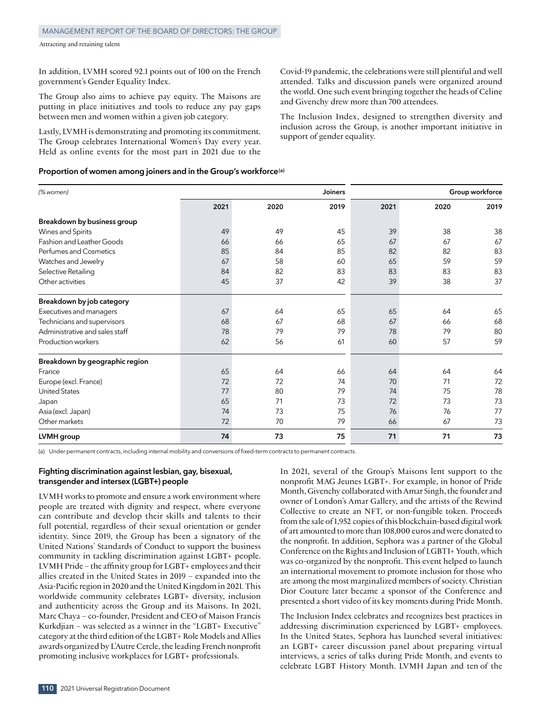In addition, LVMH scored 92.1 points out of 100 on the French government's Gender Equality Index.

The Group also aims to achieve pay equity. The Maisons are putting in place initiatives and tools to reduce any pay gaps between men and women within a given job category.

Lastly, LVMH is demonstrating and promoting its commitment. The Group celebrates International Women's Day every year. Held as online events for the most part in 2021 due to the Covid‑19 pandemic, the celebrations were still plentiful and well attended. Talks and discussion panels were organized around the world. One such event bringing together the heads of Celine and Givenchy drew more than 700 attendees.

The Inclusion Index, designed to strengthen diversity and inclusion across the Group, is another important initiative in support of gender equality.

## **Proportion of women among joiners and in the Group's workforce(a)**

| (% women)                      |      |      | Joiners |      |      | Group workforce |
|--------------------------------|------|------|---------|------|------|-----------------|
|                                | 2021 | 2020 | 2019    | 2021 | 2020 | 2019            |
| Breakdown by business group    |      |      |         |      |      |                 |
| Wines and Spirits              | 49   | 49   | 45      | 39   | 38   | 38              |
| Fashion and Leather Goods      | 66   | 66   | 65      | 67   | 67   | 67              |
| Perfumes and Cosmetics         | 85   | 84   | 85      | 82   | 82   | 83              |
| Watches and Jewelry            | 67   | 58   | 60      | 65   | 59   | 59              |
| Selective Retailing            | 84   | 82   | 83      | 83   | 83   | 83              |
| Other activities               | 45   | 37   | 42      | 39   | 38   | 37              |
| Breakdown by job category      |      |      |         |      |      |                 |
| Executives and managers        | 67   | 64   | 65      | 65   | 64   | 65              |
| Technicians and supervisors    | 68   | 67   | 68      | 67   | 66   | 68              |
| Administrative and sales staff | 78   | 79   | 79      | 78   | 79   | 80              |
| Production workers             | 62   | 56   | 61      | 60   | 57   | 59              |
| Breakdown by geographic region |      |      |         |      |      |                 |
| France                         | 65   | 64   | 66      | 64   | 64   | 64              |
| Europe (excl. France)          | 72   | 72   | 74      | 70   | 71   | 72              |
| <b>United States</b>           | 77   | 80   | 79      | 74   | 75   | 78              |
| Japan                          | 65   | 71   | 73      | 72   | 73   | 73              |
| Asia (excl. Japan)             | 74   | 73   | 75      | 76   | 76   | 77              |
| Other markets                  | 72   | 70   | 79      | 66   | 67   | 73              |
| LVMH group                     | 74   | 73   | 75      | 71   | 71   | 73              |

(a) Under permanent contracts, including internal mobility and conversions of fixed‑term contracts to permanent contracts.

# **Fighting discrimination against lesbian, gay, bisexual, transgender and intersex (LGBT+) people**

LVMH works to promote and ensure a work environment where people are treated with dignity and respect, where everyone can contribute and develop their skills and talents to their full potential, regardless of their sexual orientation or gender identity. Since 2019, the Group has been a signatory of the United Nations' Standards of Conduct to support the business community in tackling discrimination against LGBT+ people. LVMH Pride – the affinity group for LGBT+ employees and their allies created in the United States in 2019 – expanded into the Asia-Pacific region in 2020 and the United Kingdom in 2021. This worldwide community celebrates LGBT+ diversity, inclusion and authenticity across the Group and its Maisons. In 2021, Marc Chaya – co-founder, President and CEO of Maison Francis Kurkdjian – was selected as a winner in the "LGBT+ Executive" category at the third edition of the LGBT+ Role Models and Allies awards organized by L'Autre Cercle, the leading French nonprofit promoting inclusive workplaces for LGBT+ professionals.

In 2021, several of the Group's Maisons lent support to the nonprofit MAG Jeunes LGBT+. For example, in honor of Pride Month, Givenchy collaborated with Amar Singh, the founder and owner of London's Amar Gallery, and the artists of the Rewind Collective to create an NFT, or non-fungible token. Proceeds from the sale of 1,952 copies of this blockchain‑based digital work of art amounted to more than 108,000 euros and were donated to the nonprofit. In addition, Sephora was a partner of the Global Conference on the Rights and Inclusion of LGBTI+ Youth, which was co-organized by the nonprofit. This event helped to launch an international movement to promote inclusion for those who are among the most marginalized members of society. Christian Dior Couture later became a sponsor of the Conference and presented a short video of its key moments during Pride Month.

The Inclusion Index celebrates and recognizes best practices in addressing discrimination experienced by LGBT+ employees. In the United States, Sephora has launched several initiatives: an LGBT+ career discussion panel about preparing virtual interviews, a series of talks during Pride Month, and events to celebrate LGBT History Month. LVMH Japan and ten of the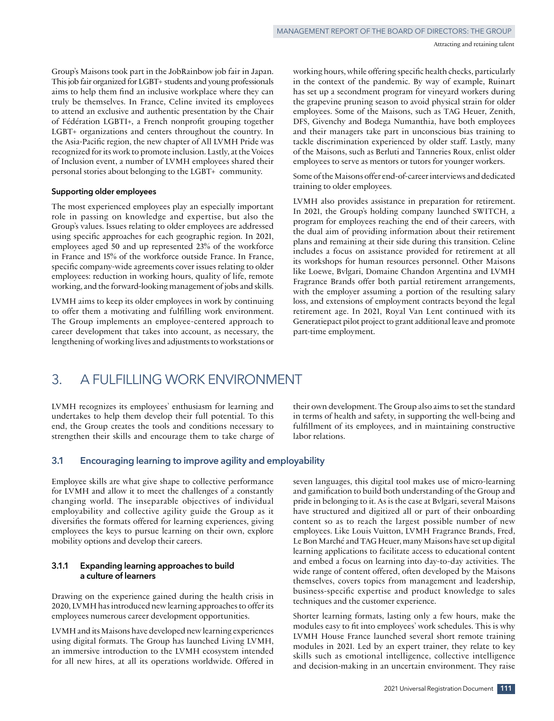Group's Maisons took part in the JobRainbow job fair in Japan. This job fair organized for LGBT+ students and young professionals aims to help them find an inclusive workplace where they can truly be themselves. In France, Celine invited its employees to attend an exclusive and authentic presentation by the Chair of Fédération LGBTI+, a French nonprofit grouping together LGBT+ organizations and centers throughout the country. In the Asia-Pacific region, the new chapter of All LVMH Pride was recognized for its work to promote inclusion. Lastly, at the Voices of Inclusion event, a number of LVMH employees shared their personal stories about belonging to the LGBT+ community.

#### **Supporting older employees**

The most experienced employees play an especially important role in passing on knowledge and expertise, but also the Group's values. Issues relating to older employees are addressed using specific approaches for each geographic region. In 2021, employees aged 50 and up represented 23% of the workforce in France and 15% of the workforce outside France. In France, specific company‑wide agreements cover issues relating to older employees: reduction in working hours, quality of life, remote working, and the forward‑looking management of jobs and skills.

LVMH aims to keep its older employees in work by continuing to offer them a motivating and fulfilling work environment. The Group implements an employee-centered approach to career development that takes into account, as necessary, the lengthening of working lives and adjustments to workstations or

working hours, while offering specific health checks, particularly in the context of the pandemic. By way of example, Ruinart has set up a secondment program for vineyard workers during the grapevine pruning season to avoid physical strain for older employees. Some of the Maisons, such as TAG Heuer, Zenith, DFS, Givenchy and Bodega Numanthia, have both employees and their managers take part in unconscious bias training to tackle discrimination experienced by older staff. Lastly, many of the Maisons, such as Berluti and Tanneries Roux, enlist older employees to serve as mentors or tutors for younger workers.

Some of the Maisons offer end-of-career interviews and dedicated training to older employees.

LVMH also provides assistance in preparation for retirement. In 2021, the Group's holding company launched SWITCH, a program for employees reaching the end of their careers, with the dual aim of providing information about their retirement plans and remaining at their side during this transition. Celine includes a focus on assistance provided for retirement at all its workshops for human resources personnel. Other Maisons like Loewe, Bvlgari, Domaine Chandon Argentina and LVMH Fragrance Brands offer both partial retirement arrangements, with the employer assuming a portion of the resulting salary loss, and extensions of employment contracts beyond the legal retirement age. In 2021, Royal Van Lent continued with its Generatiepact pilot project to grant additional leave and promote part-time employment.

# 3. A FULFILLING WORK ENVIRONMENT

LVMH recognizes its employees' enthusiasm for learning and undertakes to help them develop their full potential. To this end, the Group creates the tools and conditions necessary to strengthen their skills and encourage them to take charge of their own development. The Group also aims to set the standard in terms of health and safety, in supporting the well-being and fulfillment of its employees, and in maintaining constructive labor relations.

# **3.1 Encouraging learning to improve agility and employability**

Employee skills are what give shape to collective performance for LVMH and allow it to meet the challenges of a constantly changing world. The inseparable objectives of individual employability and collective agility guide the Group as it diversifies the formats offered for learning experiences, giving employees the keys to pursue learning on their own, explore mobility options and develop their careers.

# **3.1.1 Expanding learning approaches to build a culture of learners**

Drawing on the experience gained during the health crisis in 2020, LVMH has introduced new learning approaches to offer its employees numerous career development opportunities.

LVMH and its Maisons have developed new learning experiences using digital formats. The Group has launched Living LVMH, an immersive introduction to the LVMH ecosystem intended for all new hires, at all its operations worldwide. Offered in seven languages, this digital tool makes use of micro‑learning and gamification to build both understanding of the Group and pride in belonging to it. As is the case at Bvlgari, several Maisons have structured and digitized all or part of their onboarding content so as to reach the largest possible number of new employees. Like Louis Vuitton, LVMH Fragrance Brands, Fred, Le Bon Marché and TAG Heuer, many Maisons have set up digital learning applications to facilitate access to educational content and embed a focus on learning into day-to-day activities. The wide range of content offered, often developed by the Maisons themselves, covers topics from management and leadership, business‑specific expertise and product knowledge to sales techniques and the customer experience.

Shorter learning formats, lasting only a few hours, make the modules easy to fit into employees' work schedules. This is why LVMH House France launched several short remote training modules in 2021. Led by an expert trainer, they relate to key skills such as emotional intelligence, collective intelligence and decision‑making in an uncertain environment. They raise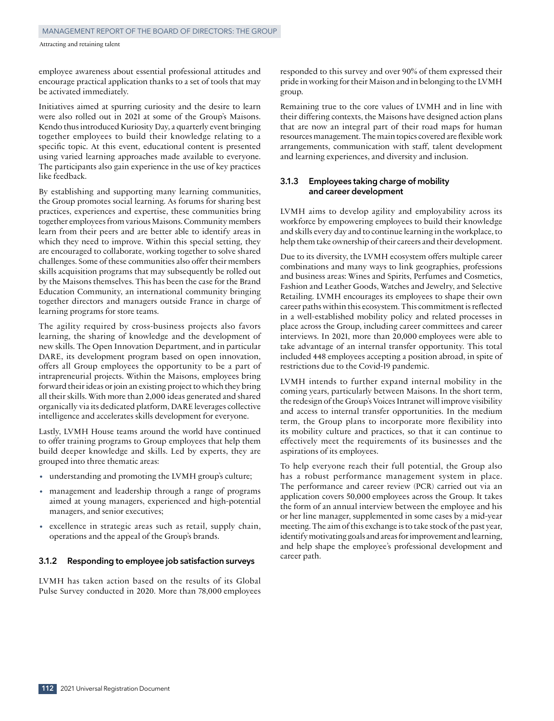employee awareness about essential professional attitudes and encourage practical application thanks to a set of tools that may be activated immediately.

Initiatives aimed at spurring curiosity and the desire to learn were also rolled out in 2021 at some of the Group's Maisons. Kendo thus introduced Kuriosity Day, a quarterly event bringing together employees to build their knowledge relating to a specific topic. At this event, educational content is presented using varied learning approaches made available to everyone. The participants also gain experience in the use of key practices like feedback.

By establishing and supporting many learning communities, the Group promotes social learning. As forums for sharing best practices, experiences and expertise, these communities bring together employees from various Maisons. Community members learn from their peers and are better able to identify areas in which they need to improve. Within this special setting, they are encouraged to collaborate, working together to solve shared challenges. Some of these communities also offer their members skills acquisition programs that may subsequently be rolled out by the Maisons themselves. This has been the case for the Brand Education Community, an international community bringing together directors and managers outside France in charge of learning programs for store teams.

The agility required by cross-business projects also favors learning, the sharing of knowledge and the development of new skills. The Open Innovation Department, and in particular DARE, its development program based on open innovation, offers all Group employees the opportunity to be a part of intrapreneurial projects. Within the Maisons, employees bring forward their ideas or join an existing project to which they bring all their skills. With more than 2,000 ideas generated and shared organically via its dedicated platform, DARE leverages collective intelligence and accelerates skills development for everyone.

Lastly, LVMH House teams around the world have continued to offer training programs to Group employees that help them build deeper knowledge and skills. Led by experts, they are grouped into three thematic areas:

- understanding and promoting the LVMH group's culture;
- management and leadership through a range of programs aimed at young managers, experienced and high-potential managers, and senior executives;
- excellence in strategic areas such as retail, supply chain, operations and the appeal of the Group's brands.

# **3.1.2 Responding to employee job satisfaction surveys**

LVMH has taken action based on the results of its Global Pulse Survey conducted in 2020. More than 78,000 employees

responded to this survey and over 90% of them expressed their pride in working for their Maison and in belonging to the LVMH group.

Remaining true to the core values of LVMH and in line with their differing contexts, the Maisons have designed action plans that are now an integral part of their road maps for human resources management. The main topics covered are flexible work arrangements, communication with staff, talent development and learning experiences, and diversity and inclusion.

# **3.1.3 Employees taking charge of mobility and career development**

LVMH aims to develop agility and employability across its workforce by empowering employees to build their knowledge and skills every day and to continue learning in the workplace, to help them take ownership of their careers and their development.

Due to its diversity, the LVMH ecosystem offers multiple career combinations and many ways to link geographies, professions and business areas: Wines and Spirits, Perfumes and Cosmetics, Fashion and Leather Goods, Watches and Jewelry, and Selective Retailing. LVMH encourages its employees to shape their own career paths within this ecosystem. This commitment is reflected in a well-established mobility policy and related processes in place across the Group, including career committees and career interviews. In 2021, more than 20,000 employees were able to take advantage of an internal transfer opportunity. This total included 448 employees accepting a position abroad, in spite of restrictions due to the Covid‑19 pandemic.

LVMH intends to further expand internal mobility in the coming years, particularly between Maisons. In the short term, the redesign of the Group's Voices Intranet will improve visibility and access to internal transfer opportunities. In the medium term, the Group plans to incorporate more flexibility into its mobility culture and practices, so that it can continue to effectively meet the requirements of its businesses and the aspirations of its employees.

To help everyone reach their full potential, the Group also has a robust performance management system in place. The performance and career review (PCR) carried out via an application covers 50,000 employees across the Group. It takes the form of an annual interview between the employee and his or her line manager, supplemented in some cases by a mid‑year meeting. The aim of this exchange is to take stock of the past year, identify motivating goals and areas for improvement and learning, and help shape the employee's professional development and career path.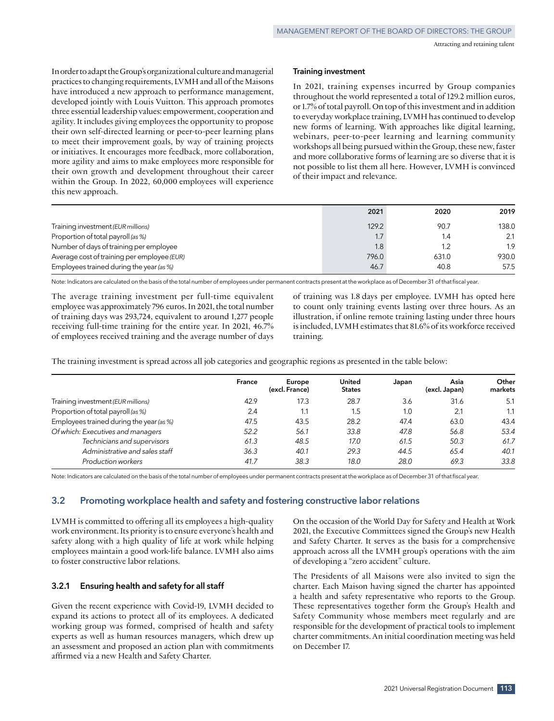In order to adapt the Group's organizational culture and managerial practices to changing requirements, LVMH and all of the Maisons have introduced a new approach to performance management, developed jointly with Louis Vuitton. This approach promotes three essential leadership values: empowerment, cooperation and agility. It includes giving employees the opportunity to propose their own self-directed learning or peer-to-peer learning plans to meet their improvement goals, by way of training projects or initiatives. It encourages more feedback, more collaboration, more agility and aims to make employees more responsible for their own growth and development throughout their career within the Group. In 2022, 60,000 employees will experience this new approach.

#### **Training investment**

In 2021, training expenses incurred by Group companies throughout the world represented a total of 129.2 million euros, or 1.7% of total payroll. On top of this investment and in addition to everyday workplace training, LVMH has continued to develop new forms of learning. With approaches like digital learning, webinars, peer-to-peer learning and learning community workshops all being pursued within the Group, these new, faster and more collaborative forms of learning are so diverse that it is not possible to list them all here. However, LVMH is convinced of their impact and relevance.

|                                             | 2021  | 2020  | 2019  |
|---------------------------------------------|-------|-------|-------|
| Training investment (EUR millions)          | 129.2 | 90.7  | 138.0 |
| Proportion of total payroll (as %)          |       | 1.4   | 2.1   |
| Number of days of training per employee     | 1.8   | 1.2   | 1.9   |
| Average cost of training per employee (EUR) | 796.0 | 631.0 | 930.0 |
| Employees trained during the year (as %)    | 46.7  | 40.8  | 57.5  |

Note: Indicators are calculated on the basis of the total number of employees under permanent contracts present at the workplace as of December 31 of that fiscal year.

The average training investment per full-time equivalent employee was approximately 796 euros. In 2021, the total number of training days was 293,724, equivalent to around 1,277 people receiving full-time training for the entire year. In 2021, 46.7% of employees received training and the average number of days

of training was 1.8 days per employee. LVMH has opted here to count only training events lasting over three hours. As an illustration, if online remote training lasting under three hours is included, LVMH estimates that 81.6% of its workforce received training.

The training investment is spread across all job categories and geographic regions as presented in the table below:

|                                          | France | Europe<br>(excl. France) | United<br><b>States</b> | Japan | Asia<br>(excl. Japan) | Other<br>markets |
|------------------------------------------|--------|--------------------------|-------------------------|-------|-----------------------|------------------|
| Training investment (EUR millions)       | 42.9   | 17.3                     | 28.7                    | 3.6   | 31.6                  | 5.1              |
| Proportion of total payroll (as %)       | 2.4    | 1.1                      | 1.5                     | 1.0   | 2.1                   | 1.1              |
| Employees trained during the year (as %) | 47.5   | 43.5                     | 28.2                    | 47.4  | 63.0                  | 43.4             |
| Of which: Executives and managers        | 52.2   | 56.1                     | 33.8                    | 47.8  | 56.8                  | 53.4             |
| Technicians and supervisors              | 61.3   | 48.5                     | 17.0                    | 61.5  | 50.3                  | 61.7             |
| Administrative and sales staff           | 36.3   | 40.1                     | 29.3                    | 44.5  | 65.4                  | 40.1             |
| Production workers                       | 41.7   | 38.3                     | 18.0                    | 28.0  | 69.3                  | 33.8             |

Note: Indicators are calculated on the basis of the total number of employees under permanent contracts present at the workplace as of December 31 of that fiscal year.

# **3.2 Promoting workplace health and safety and fostering constructive labor relations**

LVMH is committed to offering all its employees a high-quality work environment. Its priority is to ensure everyone's health and safety along with a high quality of life at work while helping employees maintain a good work‑life balance. LVMH also aims to foster constructive labor relations.

#### **3.2.1 Ensuring health and safety for all staff**

Given the recent experience with Covid‑19, LVMH decided to expand its actions to protect all of its employees. A dedicated working group was formed, comprised of health and safety experts as well as human resources managers, which drew up an assessment and proposed an action plan with commitments affirmed via a new Health and Safety Charter.

On the occasion of the World Day for Safety and Health at Work 2021, the Executive Committees signed the Group's new Health and Safety Charter. It serves as the basis for a comprehensive approach across all the LVMH group's operations with the aim of developing a "zero accident" culture.

The Presidents of all Maisons were also invited to sign the charter. Each Maison having signed the charter has appointed a health and safety representative who reports to the Group. These representatives together form the Group's Health and Safety Community whose members meet regularly and are responsible for the development of practical tools to implement charter commitments. An initial coordination meeting was held on December 17.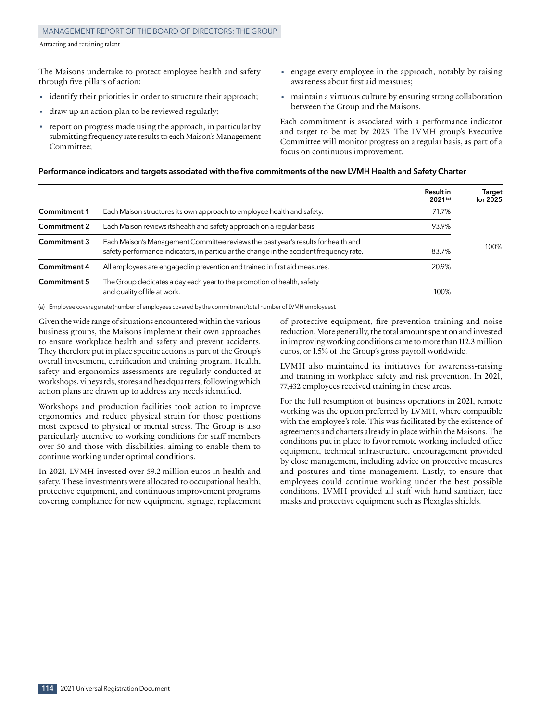#### Management Report of the Board of Directors: the Group

The Maisons undertake to protect employee health and safety through five pillars of action:

- identify their priorities in order to structure their approach;
- draw up an action plan to be reviewed regularly;
- report on progress made using the approach, in particular by submitting frequency rate results to each Maison's Management Committee<sup>,</sup>
- engage every employee in the approach, notably by raising awareness about first aid measures;
- maintain a virtuous culture by ensuring strong collaboration between the Group and the Maisons.

Each commitment is associated with a performance indicator and target to be met by 2025. The LVMH group's Executive Committee will monitor progress on a regular basis, as part of a focus on continuous improvement.

# **Performance indicators and targets associated with the five commitments of the new LVMH Health and Safety Charter**

|                     |                                                                                                                                                                              | <b>Result in</b><br>$2021^{(a)}$ | Target<br>for 2025 |
|---------------------|------------------------------------------------------------------------------------------------------------------------------------------------------------------------------|----------------------------------|--------------------|
| <b>Commitment 1</b> | Each Maison structures its own approach to employee health and safety.                                                                                                       | 71.7%                            |                    |
| <b>Commitment 2</b> | Each Maison reviews its health and safety approach on a regular basis.                                                                                                       | 93.9%                            |                    |
| Commitment 3        | Each Maison's Management Committee reviews the past year's results for health and<br>safety performance indicators, in particular the change in the accident frequency rate. | 83.7%                            | 100%               |
| <b>Commitment 4</b> | All employees are engaged in prevention and trained in first aid measures.                                                                                                   | 20.9%                            |                    |
| Commitment 5        | The Group dedicates a day each year to the promotion of health, safety<br>and quality of life at work.                                                                       | 100%                             |                    |

(a) Employee coverage rate (number of employees covered by the commitment/total number of LVMH employees).

Given the wide range of situations encountered within the various business groups, the Maisons implement their own approaches to ensure workplace health and safety and prevent accidents. They therefore put in place specific actions as part of the Group's overall investment, certification and training program. Health, safety and ergonomics assessments are regularly conducted at workshops, vineyards, stores and headquarters, following which action plans are drawn up to address any needs identified.

Workshops and production facilities took action to improve ergonomics and reduce physical strain for those positions most exposed to physical or mental stress. The Group is also particularly attentive to working conditions for staff members over 50 and those with disabilities, aiming to enable them to continue working under optimal conditions.

In 2021, LVMH invested over 59.2 million euros in health and safety. These investments were allocated to occupational health, protective equipment, and continuous improvement programs covering compliance for new equipment, signage, replacement

of protective equipment, fire prevention training and noise reduction. More generally, the total amount spent on and invested in improving working conditions came to more than 112.3 million euros, or 1.5% of the Group's gross payroll worldwide.

LVMH also maintained its initiatives for awareness‑raising and training in workplace safety and risk prevention. In 2021, 77,432 employees received training in these areas.

For the full resumption of business operations in 2021, remote working was the option preferred by LVMH, where compatible with the employee's role. This was facilitated by the existence of agreements and charters already in place within the Maisons. The conditions put in place to favor remote working included office equipment, technical infrastructure, encouragement provided by close management, including advice on protective measures and postures and time management. Lastly, to ensure that employees could continue working under the best possible conditions, LVMH provided all staff with hand sanitizer, face masks and protective equipment such as Plexiglas shields.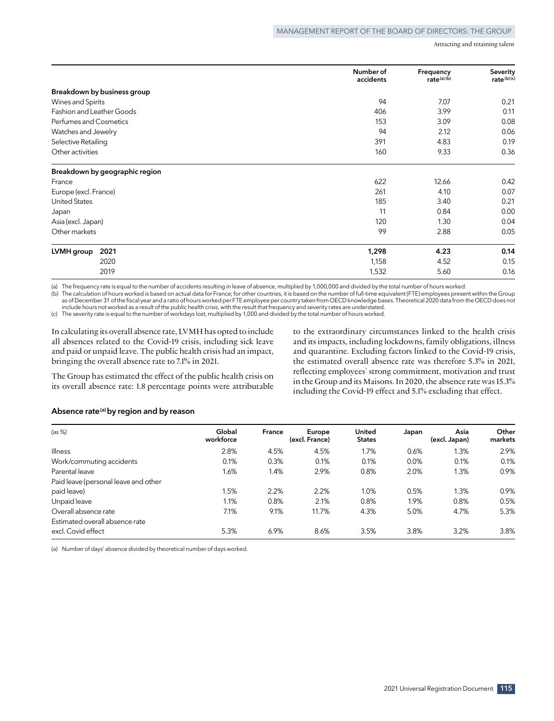|                                | Number of<br>accidents | Frequency<br>rate(a)(b) | Severity<br>rate(b)(c) |
|--------------------------------|------------------------|-------------------------|------------------------|
| Breakdown by business group    |                        |                         |                        |
| Wines and Spirits              | 94                     | 7.07                    | 0.21                   |
| Fashion and Leather Goods      | 406                    | 3.99                    | 0.11                   |
| Perfumes and Cosmetics         | 153                    | 3.09                    | 0.08                   |
| Watches and Jewelry            | 94                     | 2.12                    | 0.06                   |
| Selective Retailing            | 391                    | 4.83                    | 0.19                   |
| Other activities               | 160                    | 9.33                    | 0.36                   |
| Breakdown by geographic region |                        |                         |                        |
| France                         | 622                    | 12.66                   | 0.42                   |
| Europe (excl. France)          | 261                    | 4.10                    | 0.07                   |
| <b>United States</b>           | 185                    | 3.40                    | 0.21                   |
| Japan                          | 11                     | 0.84                    | 0.00                   |
| Asia (excl. Japan)             | 120                    | 1.30                    | 0.04                   |
| Other markets                  | 99                     | 2.88                    | 0.05                   |
| 2021<br>LVMH group             | 1,298                  | 4.23                    | 0.14                   |
| 2020                           | 1,158                  | 4.52                    | 0.15                   |
| 2019                           | 1,532                  | 5.60                    | 0.16                   |

(a) The frequency rate is equal to the number of accidents resulting in leave of absence, multiplied by 1,000,000 and divided by the total number of hours worked.

(b) The calculation of hours worked is based on actual data for France; for other countries, it is based on the number of full‑time equivalent (FTE) employees present within the Group as of December 31 of the fiscal year and a ratio of hours worked per FTE employee per country taken from OECD knowledge bases. Theoretical 2020 data from the OECD does not include hours not worked as a result of the public health crisis, with the result that frequency and severity rates are understated.

(c) The severity rate is equal to the number of workdays lost, multiplied by 1,000 and divided by the total number of hours worked.

In calculating its overall absence rate, LVMH has opted to include all absences related to the Covid‑19 crisis, including sick leave and paid or unpaid leave. The public health crisis had an impact, bringing the overall absence rate to 7.1% in 2021.

The Group has estimated the effect of the public health crisis on its overall absence rate: 1.8 percentage points were attributable to the extraordinary circumstances linked to the health crisis and its impacts, including lockdowns, family obligations, illness and quarantine. Excluding factors linked to the Covid-19 crisis, the estimated overall absence rate was therefore 5.3% in 2021, reflecting employees' strong commitment, motivation and trust in the Group and its Maisons. In 2020, the absence rate was 15.3% including the Covid-19 effect and 5.1% excluding that effect.

#### **Absence rate(a) by region and by reason**

| (as %)                               | Global<br>workforce | France | Europe<br>(excl. France) | <b>United</b><br><b>States</b> | Japan | Asia<br>(excl. Japan) | Other<br>markets |
|--------------------------------------|---------------------|--------|--------------------------|--------------------------------|-------|-----------------------|------------------|
| <b>Illness</b>                       | 2.8%                | 4.5%   | 4.5%                     | 1.7%                           | 0.6%  | 1.3%                  | 2.9%             |
| Work/commuting accidents             | 0.1%                | 0.3%   | 0.1%                     | 0.1%                           | 0.0%  | 0.1%                  | 0.1%             |
| Parental leave                       | 1.6%                | 1.4%   | 2.9%                     | 0.8%                           | 2.0%  | 1.3%                  | 0.9%             |
| Paid leave (personal leave and other |                     |        |                          |                                |       |                       |                  |
| paid leave)                          | 1.5%                | 2.2%   | 2.2%                     | 1.0%                           | 0.5%  | 1.3%                  | 0.9%             |
| Unpaid leave                         | 1.1%                | 0.8%   | 2.1%                     | 0.8%                           | 1.9%  | 0.8%                  | 0.5%             |
| Overall absence rate                 | 7.1%                | 9.1%   | 11.7%                    | 4.3%                           | 5.0%  | 4.7%                  | 5.3%             |
| Estimated overall absence rate       |                     |        |                          |                                |       |                       |                  |
| excl. Covid effect                   | 5.3%                | 6.9%   | 8.6%                     | 3.5%                           | 3.8%  | 3.2%                  | 3.8%             |

(a) Number of days' absence divided by theoretical number of days worked.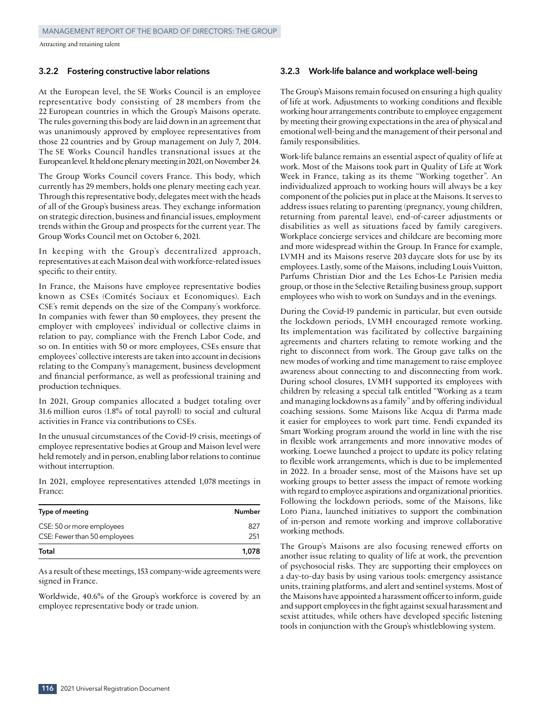#### **3.2.2 Fostering constructive labor relations**

At the European level, the SE Works Council is an employee representative body consisting of 28 members from the 22 European countries in which the Group's Maisons operate. The rules governing this body are laid down in an agreement that was unanimously approved by employee representatives from those 22 countries and by Group management on July 7, 2014. The SE Works Council handles transnational issues at the European level. It held one plenary meeting in 2021, on November 24.

The Group Works Council covers France. This body, which currently has 29 members, holds one plenary meeting each year. Through this representative body, delegates meet with the heads of all of the Group's business areas. They exchange information on strategic direction, business and financial issues, employment trends within the Group and prospects for the current year. The Group Works Council met on October 6, 2021.

In keeping with the Group's decentralized approach, representatives at each Maison deal with workforce‑related issues specific to their entity.

In France, the Maisons have employee representative bodies known as CSEs (Comités Sociaux et Economiques). Each CSE's remit depends on the size of the Company's workforce. In companies with fewer than 50 employees, they present the employer with employees' individual or collective claims in relation to pay, compliance with the French Labor Code, and so on. In entities with 50 or more employees, CSEs ensure that employees' collective interests are taken into account in decisions relating to the Company's management, business development and financial performance, as well as professional training and production techniques.

In 2021, Group companies allocated a budget totaling over 31.6 million euros (1.8% of total payroll) to social and cultural activities in France via contributions to CSEs.

In the unusual circumstances of the Covid‑19 crisis, meetings of employee representative bodies at Group and Maison level were held remotely and in person, enabling labor relations to continue without interruption.

In 2021, employee representatives attended 1,078 meetings in France:

| Type of meeting              | <b>Number</b> |
|------------------------------|---------------|
| CSE: 50 or more employees    | 827           |
| CSE: Fewer than 50 employees | 251           |
| Total                        | 1.078         |

As a result of these meetings, 153 company-wide agreements were signed in France.

Worldwide, 40.6% of the Group's workforce is covered by an employee representative body or trade union.

#### **3.2.3 Work‑life balance and workplace well‑being**

The Group's Maisons remain focused on ensuring a high quality of life at work. Adjustments to working conditions and flexible working hour arrangements contribute to employee engagement by meeting their growing expectations in the area of physical and emotional well‑being and the management of their personal and family responsibilities.

Work‑life balance remains an essential aspect of quality of life at work. Most of the Maisons took part in Quality of Life at Work Week in France, taking as its theme "Working together". An individualized approach to working hours will always be a key component of the policies put in place at the Maisons. It serves to address issues relating to parenting (pregnancy, young children, returning from parental leave), end-of-career adjustments or disabilities as well as situations faced by family caregivers. Workplace concierge services and childcare are becoming more and more widespread within the Group. In France for example, LVMH and its Maisons reserve 203 daycare slots for use by its employees. Lastly, some of the Maisons, including Louis Vuitton, Parfums Christian Dior and the Les Echos-Le Parisien media group, or those in the Selective Retailing business group, support employees who wish to work on Sundays and in the evenings.

During the Covid‑19 pandemic in particular, but even outside the lockdown periods, LVMH encouraged remote working. Its implementation was facilitated by collective bargaining agreements and charters relating to remote working and the right to disconnect from work. The Group gave talks on the new modes of working and time management to raise employee awareness about connecting to and disconnecting from work. During school closures, LVMH supported its employees with children by releasing a special talk entitled "Working as a team and managing lockdowns as a family" and by offering individual coaching sessions. Some Maisons like Acqua di Parma made it easier for employees to work part time. Fendi expanded its Smart Working program around the world in line with the rise in flexible work arrangements and more innovative modes of working. Loewe launched a project to update its policy relating to flexible work arrangements, which is due to be implemented in 2022. In a broader sense, most of the Maisons have set up working groups to better assess the impact of remote working with regard to employee aspirations and organizational priorities. Following the lockdown periods, some of the Maisons, like Loro Piana, launched initiatives to support the combination of in‑person and remote working and improve collaborative working methods.

The Group's Maisons are also focusing renewed efforts on another issue relating to quality of life at work, the prevention of psychosocial risks. They are supporting their employees on a day‑to‑day basis by using various tools: emergency assistance units, training platforms, and alert and sentinel systems. Most of the Maisons have appointed a harassment officer to inform, guide and support employees in the fight against sexual harassment and sexist attitudes, while others have developed specific listening tools in conjunction with the Group's whistleblowing system.

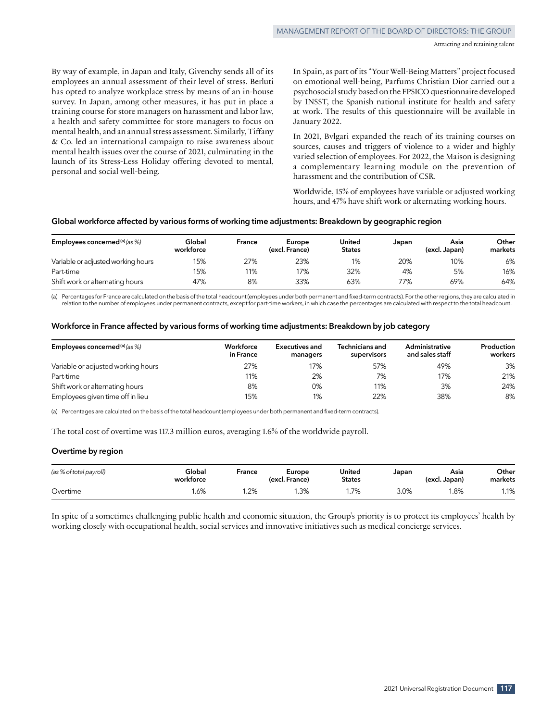By way of example, in Japan and Italy, Givenchy sends all of its employees an annual assessment of their level of stress. Berluti has opted to analyze workplace stress by means of an in-house survey. In Japan, among other measures, it has put in place a training course for store managers on harassment and labor law, a health and safety committee for store managers to focus on mental health, and an annual stress assessment. Similarly, Tiffany & Co. led an international campaign to raise awareness about mental health issues over the course of 2021, culminating in the launch of its Stress-Less Holiday offering devoted to mental, personal and social well‑being.

In Spain, as part of its "Your Well-Being Matters" project focused on emotional well‑being, Parfums Christian Dior carried out a psychosocial study based on the FPSICO questionnaire developed by INSST, the Spanish national institute for health and safety at work. The results of this questionnaire will be available in January 2022.

In 2021, Bvlgari expanded the reach of its training courses on sources, causes and triggers of violence to a wider and highly varied selection of employees. For 2022, the Maison is designing a complementary learning module on the prevention of harassment and the contribution of CSR.

Worldwide, 15% of employees have variable or adjusted working hours, and 47% have shift work or alternating working hours.

## **Global workforce affected by various forms of working time adjustments: Breakdown by geographic region**

| Employees concerned <sup>(a)</sup> (as $\%$ ) | Global<br>workforce | France | Europe<br>(excl. France) | United<br><b>States</b> | Japan | Asia<br>(excl. Japan) | Other<br>markets |
|-----------------------------------------------|---------------------|--------|--------------------------|-------------------------|-------|-----------------------|------------------|
| Variable or adjusted working hours            | 15%                 | 27%    | 23%                      | 1%                      | 20%   | 10%                   | 6%               |
| Part-time                                     | 15%                 | 11%    | 17%                      | 32%                     | 4%    | 5%                    | 16%              |
| Shift work or alternating hours               | 47%                 | 8%     | 33%                      | 63%                     | 77%   | 69%                   | 64%              |

(a) Percentages for France are calculated on the basis of the total headcount (employees under both permanent and fixed-term contracts). For the other regions, they are calculated in relation to the number of employees under permanent contracts, except for part-time workers, in which case the percentages are calculated with respect to the total headcount.

#### **Workforce in France affected by various forms of working time adjustments: Breakdown by job category**

| Employees concerned <sup>(a)</sup> (as $\%$ ) | Workforce<br>in France | Executives and<br>managers | <b>Technicians and</b><br>supervisors | Administrative<br>and sales staff | Production<br>workers |
|-----------------------------------------------|------------------------|----------------------------|---------------------------------------|-----------------------------------|-----------------------|
| Variable or adjusted working hours            | 27%                    | 17%                        | 57%                                   | 49%                               | 3%                    |
| Part-time                                     | 11%                    | 2%                         | 7%                                    | 17%                               | 21%                   |
| Shift work or alternating hours               | 8%                     | 0%                         | 11%                                   | 3%                                | 24%                   |
| Employees given time off in lieu              | 15%                    | 1%                         | 22%                                   | 38%                               | 8%                    |

(a) Percentages are calculated on the basis of the total headcount (employees under both permanent and fixed-term contracts).

The total cost of overtime was 117.3 million euros, averaging 1.6% of the worldwide payroll.

#### **Overtime by region**

| (as % of total payroll) | Global<br>workforce | France | Europe<br>(excl. France) | United<br><b>States</b> | Japan | Asia<br>(excl. Japan) | Other<br>markets |
|-------------------------|---------------------|--------|--------------------------|-------------------------|-------|-----------------------|------------------|
| Overtime                | .6%                 | .2%    | 1.3%                     | .7%                     | 3.0%  | l.8%                  | 1.1%             |

In spite of a sometimes challenging public health and economic situation, the Group's priority is to protect its employees' health by working closely with occupational health, social services and innovative initiatives such as medical concierge services.